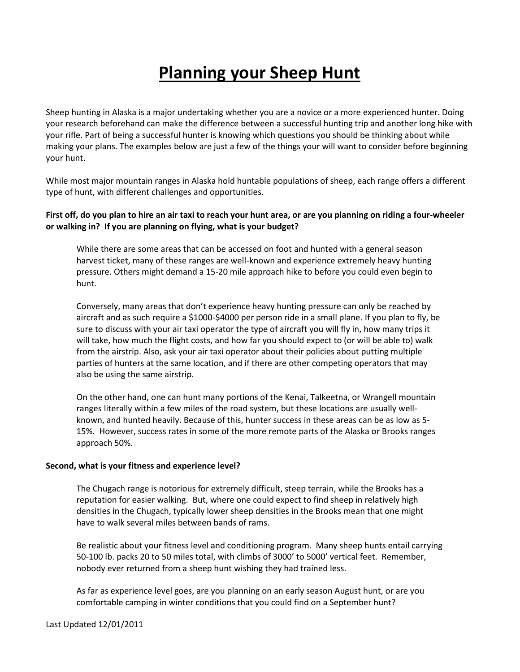# **Planning your Sheep Hunt**

Sheep hunting in Alaska is a major undertaking whether you are a novice or a more experienced hunter. Doing your research beforehand can make the difference between a successful hunting trip and another long hike with your rifle. Part of being a successful hunter is knowing which questions you should be thinking about while making your plans. The examples below are just a few of the things your will want to consider before beginning your hunt.

While most major mountain ranges in Alaska hold huntable populations of sheep, each range offers a different type of hunt, with different challenges and opportunities.

## **First off, do you plan to hire an air taxi to reach your hunt area, or are you planning on riding a four-wheeler or walking in? If you are planning on flying, what is your budget?**

While there are some areas that can be accessed on foot and hunted with a general season harvest ticket, many of these ranges are well-known and experience extremely heavy hunting pressure. Others might demand a 15-20 mile approach hike to before you could even begin to hunt.

Conversely, many areas that don't experience heavy hunting pressure can only be reached by aircraft and as such require a \$1000-\$4000 per person ride in a small plane. If you plan to fly, be sure to discuss with your air taxi operator the type of aircraft you will fly in, how many trips it will take, how much the flight costs, and how far you should expect to (or will be able to) walk from the airstrip. Also, ask your air taxi operator about their policies about putting multiple parties of hunters at the same location, and if there are other competing operators that may also be using the same airstrip.

On the other hand, one can hunt many portions of the Kenai, Talkeetna, or Wrangell mountain ranges literally within a few miles of the road system, but these locations are usually wellknown, and hunted heavily. Because of this, hunter success in these areas can be as low as 5- 15%. However, success rates in some of the more remote parts of the Alaska or Brooks ranges approach 50%.

## **Second, what is your fitness and experience level?**

The Chugach range is notorious for extremely difficult, steep terrain, while the Brooks has a reputation for easier walking. But, where one could expect to find sheep in relatively high densities in the Chugach, typically lower sheep densities in the Brooks mean that one might have to walk several miles between bands of rams.

Be realistic about your fitness level and conditioning program. Many sheep hunts entail carrying 50-100 lb. packs 20 to 50 miles total, with climbs of 3000' to 5000' vertical feet. Remember, nobody ever returned from a sheep hunt wishing they had trained less.

As far as experience level goes, are you planning on an early season August hunt, or are you comfortable camping in winter conditions that you could find on a September hunt?